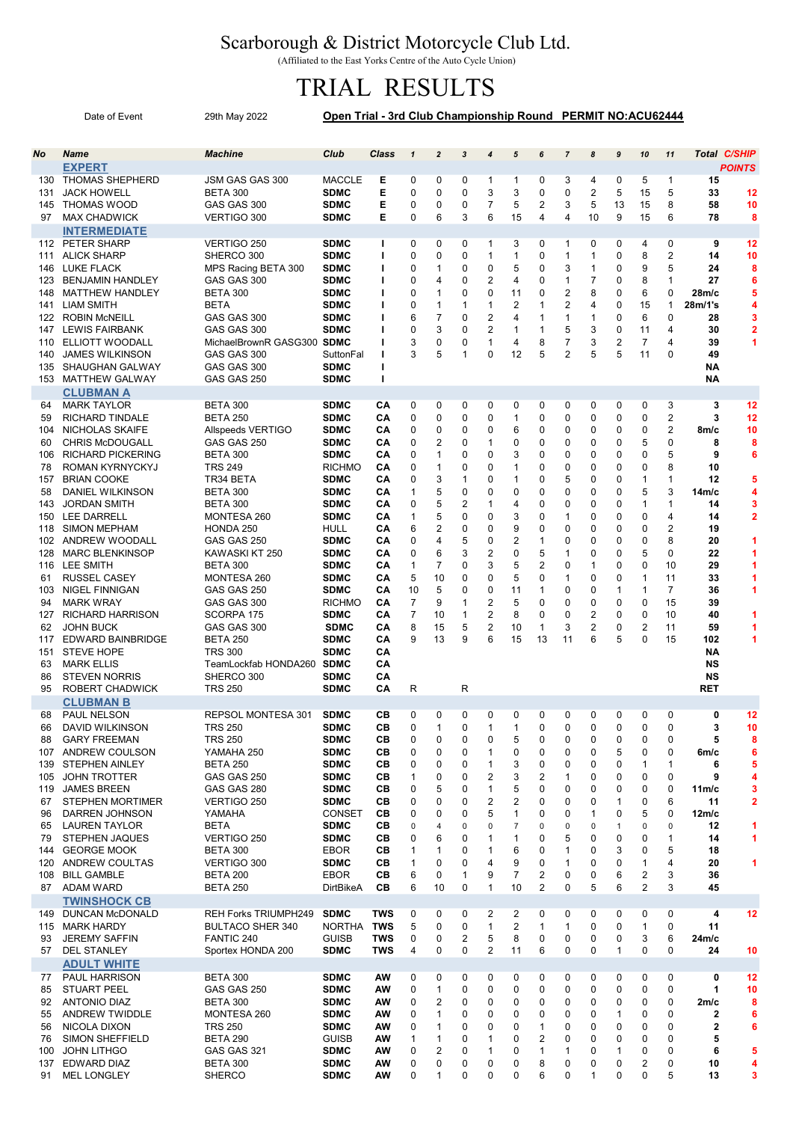## Scarborough & District Motorcycle Club Ltd.

(Affiliated to the East Yorks Centre of the Auto Cycle Union)

## TRIAL RESULTS

|                                                                                                                                                           | Date of Event                                                                                                                                                                                                                                                                                                                                                                                                                                                                                                                                | 29th May 2022                                                                                                                                                                                                                                                                                                                                                                                                         | Open Trial - 3rd Club Championship Round PERMIT NO:ACU62444                                                                                                                                                                                                                                                                                                       |                                                                                                                                              |                                                                                                                                                                                                                                                |                                                                                                                              |                                                                                                                               |                                                                                                                                                           |                                                                                                                             |                                                                                                                                                       |                                                                                                                                           |                                                                                                                                    |                                                                                                             |                                                                                                                                                                            |                                                                                                                                                                                                      |                                                                                                                                                 |                                                                                                   |
|-----------------------------------------------------------------------------------------------------------------------------------------------------------|----------------------------------------------------------------------------------------------------------------------------------------------------------------------------------------------------------------------------------------------------------------------------------------------------------------------------------------------------------------------------------------------------------------------------------------------------------------------------------------------------------------------------------------------|-----------------------------------------------------------------------------------------------------------------------------------------------------------------------------------------------------------------------------------------------------------------------------------------------------------------------------------------------------------------------------------------------------------------------|-------------------------------------------------------------------------------------------------------------------------------------------------------------------------------------------------------------------------------------------------------------------------------------------------------------------------------------------------------------------|----------------------------------------------------------------------------------------------------------------------------------------------|------------------------------------------------------------------------------------------------------------------------------------------------------------------------------------------------------------------------------------------------|------------------------------------------------------------------------------------------------------------------------------|-------------------------------------------------------------------------------------------------------------------------------|-----------------------------------------------------------------------------------------------------------------------------------------------------------|-----------------------------------------------------------------------------------------------------------------------------|-------------------------------------------------------------------------------------------------------------------------------------------------------|-------------------------------------------------------------------------------------------------------------------------------------------|------------------------------------------------------------------------------------------------------------------------------------|-------------------------------------------------------------------------------------------------------------|----------------------------------------------------------------------------------------------------------------------------------------------------------------------------|------------------------------------------------------------------------------------------------------------------------------------------------------------------------------------------------------|-------------------------------------------------------------------------------------------------------------------------------------------------|---------------------------------------------------------------------------------------------------|
| No                                                                                                                                                        | <b>Name</b>                                                                                                                                                                                                                                                                                                                                                                                                                                                                                                                                  | <b>Machine</b>                                                                                                                                                                                                                                                                                                                                                                                                        | Club                                                                                                                                                                                                                                                                                                                                                              | <b>Class</b>                                                                                                                                 | $\mathbf{1}$                                                                                                                                                                                                                                   | $\overline{a}$                                                                                                               | $\mathbf{3}$                                                                                                                  | 4                                                                                                                                                         | $\sqrt{5}$                                                                                                                  | 6                                                                                                                                                     | $\overline{7}$                                                                                                                            | 8                                                                                                                                  | 9                                                                                                           | 10                                                                                                                                                                         | 11                                                                                                                                                                                                   | <b>Total C/SHIP</b>                                                                                                                             |                                                                                                   |
| 130<br>131<br>145<br>97                                                                                                                                   | <b>EXPERT</b><br><b>THOMAS SHEPHERD</b><br><b>JACK HOWELL</b><br><b>THOMAS WOOD</b><br><b>MAX CHADWICK</b>                                                                                                                                                                                                                                                                                                                                                                                                                                   | JSM GAS GAS 300<br><b>BETA 300</b><br>GAS GAS 300<br>VERTIGO 300                                                                                                                                                                                                                                                                                                                                                      | <b>MACCLE</b><br><b>SDMC</b><br><b>SDMC</b><br><b>SDMC</b>                                                                                                                                                                                                                                                                                                        | Е<br>E<br>E<br>Е                                                                                                                             | 0<br>$\mathbf 0$<br>$\mathbf 0$<br>$\Omega$                                                                                                                                                                                                    | 0<br>0<br>0<br>6                                                                                                             | 0<br>0<br>0<br>3                                                                                                              | $\mathbf{1}$<br>3<br>$\overline{7}$<br>6                                                                                                                  | 1<br>3<br>5<br>15                                                                                                           | 0<br>0<br>2<br>4                                                                                                                                      | 3<br>0<br>3<br>4                                                                                                                          | 4<br>$\overline{\mathbf{c}}$<br>5<br>10                                                                                            | 0<br>5<br>13<br>9                                                                                           | 5<br>15<br>15<br>15                                                                                                                                                        | $\mathbf{1}$<br>5<br>8<br>6                                                                                                                                                                          | 15<br>33<br>58<br>78                                                                                                                            | <b>POINTS</b><br>12<br>10<br>8                                                                    |
| 111<br>146<br>123<br>148<br>141<br>122<br>147<br>110<br>140<br>135<br>153                                                                                 | <b>INTERMEDIATE</b><br>112 PETER SHARP<br><b>ALICK SHARP</b><br><b>LUKE FLACK</b><br><b>BENJAMIN HANDLEY</b><br><b>MATTHEW HANDLEY</b><br><b>LIAM SMITH</b><br><b>ROBIN McNEILL</b><br><b>LEWIS FAIRBANK</b><br>ELLIOTT WOODALL<br><b>JAMES WILKINSON</b><br><b>SHAUGHAN GALWAY</b><br><b>MATTHEW GALWAY</b><br><b>CLUBMAN A</b>                                                                                                                                                                                                             | VERTIGO 250<br>SHERCO 300<br>MPS Racing BETA 300<br>GAS GAS 300<br><b>BETA 300</b><br><b>BETA</b><br>GAS GAS 300<br>GAS GAS 300<br>MichaelBrownR GASG300 SDMC<br>GAS GAS 300<br>GAS GAS 300<br>GAS GAS 250                                                                                                                                                                                                            | <b>SDMC</b><br><b>SDMC</b><br><b>SDMC</b><br><b>SDMC</b><br><b>SDMC</b><br><b>SDMC</b><br><b>SDMC</b><br><b>SDMC</b><br>SuttonFal<br><b>SDMC</b><br><b>SDMC</b>                                                                                                                                                                                                   | L<br>ı<br>т<br>т<br>ı<br>т<br>т<br>ı<br>ı<br>т<br>ı                                                                                          | 0<br>0<br>$\mathbf 0$<br>0<br>$\mathbf 0$<br>$\mathbf 0$<br>6<br>$\mathbf 0$<br>3<br>3                                                                                                                                                         | 0<br>0<br>1<br>4<br>1<br>1<br>$\overline{7}$<br>3<br>0<br>5                                                                  | 0<br>0<br>0<br>0<br>0<br>1<br>0<br>0<br>0<br>1                                                                                | $\mathbf{1}$<br>$\mathbf{1}$<br>0<br>$\overline{2}$<br>$\mathbf 0$<br>$\mathbf{1}$<br>$\overline{2}$<br>$\overline{2}$<br>$\mathbf{1}$<br>0               | 3<br>1<br>5<br>$\overline{4}$<br>11<br>2<br>4<br>1<br>4<br>12                                                               | 0<br>0<br>0<br>0<br>0<br>$\mathbf{1}$<br>$\mathbf 1$<br>$\mathbf{1}$<br>8<br>5                                                                        | 1<br>$\mathbf{1}$<br>3<br>$\mathbf{1}$<br>2<br>$\overline{2}$<br>$\mathbf{1}$<br>5<br>$\overline{7}$<br>$\overline{2}$                    | 0<br>$\mathbf{1}$<br>$\mathbf{1}$<br>$\overline{7}$<br>8<br>4<br>$\mathbf{1}$<br>3<br>3<br>5                                       | 0<br>0<br>0<br>0<br>0<br>0<br>0<br>0<br>$\overline{2}$<br>5                                                 | 4<br>8<br>9<br>8<br>6<br>15<br>6<br>11<br>$\overline{7}$<br>11                                                                                                             | 0<br>$\overline{2}$<br>5<br>$\mathbf{1}$<br>$\mathbf 0$<br>$\overline{1}$<br>$\Omega$<br>$\overline{4}$<br>4<br>$\Omega$                                                                             | 9<br>14<br>24<br>27<br>28m/c<br>28m/1's<br>28<br>30<br>39<br>49<br>NΑ<br>NΑ                                                                     | 12<br>10<br>8<br>6<br>5<br>4<br>3<br>$\overline{\mathbf{2}}$<br>1                                 |
| 64<br>59<br>104<br>60<br>106<br>78<br>157<br>58<br>143<br>150<br>118<br>102<br>128<br>116<br>61<br>103<br>94<br>127<br>62<br>117<br>151<br>63<br>86<br>95 | <b>MARK TAYLOR</b><br><b>RICHARD TINDALE</b><br>NICHOLAS SKAIFE<br><b>CHRIS McDOUGALL</b><br><b>RICHARD PICKERING</b><br>ROMAN KYRNYCKYJ<br><b>BRIAN COOKE</b><br>DANIEL WILKINSON<br><b>JORDAN SMITH</b><br><b>LEE DARRELL</b><br><b>SIMON MEPHAM</b><br>ANDREW WOODALL<br><b>MARC BLENKINSOP</b><br>LEE SMITH<br><b>RUSSEL CASEY</b><br><b>NIGEL FINNIGAN</b><br><b>MARK WRAY</b><br><b>RICHARD HARRISON</b><br><b>JOHN BUCK</b><br>EDWARD BAINBRIDGE<br><b>STEVE HOPE</b><br><b>MARK ELLIS</b><br><b>STEVEN NORRIS</b><br>ROBERT CHADWICK | <b>BETA 300</b><br><b>BETA 250</b><br>Allspeeds VERTIGO<br>GAS GAS 250<br><b>BETA 300</b><br><b>TRS 249</b><br>TR34 BETA<br><b>BETA 300</b><br><b>BETA 300</b><br>MONTESA 260<br>HONDA 250<br>GAS GAS 250<br>KAWASKI KT 250<br><b>BETA 300</b><br>MONTESA 260<br>GAS GAS 250<br>GAS GAS 300<br>SCORPA 175<br>GAS GAS 300<br><b>BETA 250</b><br><b>TRS 300</b><br>TeamLockfab HONDA260<br>SHERCO 300<br><b>TRS 250</b> | <b>SDMC</b><br><b>SDMC</b><br><b>SDMC</b><br><b>SDMC</b><br><b>SDMC</b><br><b>RICHMO</b><br><b>SDMC</b><br><b>SDMC</b><br><b>SDMC</b><br><b>SDMC</b><br>HULL<br><b>SDMC</b><br><b>SDMC</b><br><b>SDMC</b><br><b>SDMC</b><br><b>SDMC</b><br><b>RICHMO</b><br><b>SDMC</b><br><b>SDMC</b><br><b>SDMC</b><br><b>SDMC</b><br><b>SDMC</b><br><b>SDMC</b><br><b>SDMC</b> | CА<br>CA<br>CА<br>CA<br>CА<br>CA<br>CА<br>CA<br>CA<br>CA<br>CА<br>CA<br>CA<br>CA<br>CA<br>CA<br>CА<br>CA<br>CA<br>CA<br>CA<br>CA<br>CA<br>CA | 0<br>0<br>$\mathbf 0$<br>$\mathbf 0$<br>$\mathbf 0$<br>$\mathbf 0$<br>$\mathbf 0$<br>$\mathbf{1}$<br>$\mathbf 0$<br>$\mathbf{1}$<br>6<br>$\Omega$<br>$\mathbf 0$<br>$\mathbf{1}$<br>5<br>10<br>$\overline{7}$<br>$\overline{7}$<br>8<br>9<br>R | 0<br>0<br>0<br>2<br>1<br>$\mathbf{1}$<br>3<br>5<br>5<br>5<br>2<br>4<br>6<br>$\overline{7}$<br>10<br>5<br>9<br>10<br>15<br>13 | 0<br>0<br>0<br>0<br>0<br>0<br>1<br>0<br>$\overline{2}$<br>0<br>0<br>5<br>3<br>0<br>0<br>0<br>1<br>$\mathbf{1}$<br>5<br>9<br>R | 0<br>0<br>0<br>$\mathbf{1}$<br>0<br>0<br>0<br>0<br>$\mathbf{1}$<br>0<br>0<br>0<br>$\overline{\mathbf{c}}$<br>3<br>0<br>0<br>2<br>$\overline{2}$<br>2<br>6 | 0<br>1<br>6<br>0<br>3<br>1<br>$\mathbf{1}$<br>0<br>4<br>3<br>9<br>$\overline{2}$<br>0<br>5<br>5<br>11<br>5<br>8<br>10<br>15 | 0<br>$\pmb{0}$<br>0<br>0<br>0<br>0<br>0<br>0<br>0<br>0<br>0<br>$\mathbf{1}$<br>5<br>$\overline{\mathbf{c}}$<br>0<br>1<br>0<br>0<br>$\mathbf{1}$<br>13 | 0<br>0<br>0<br>0<br>0<br>0<br>5<br>0<br>0<br>$\mathbf{1}$<br>0<br>$\Omega$<br>$\mathbf{1}$<br>0<br>$\mathbf{1}$<br>0<br>0<br>0<br>3<br>11 | 0<br>0<br>0<br>0<br>0<br>0<br>0<br>0<br>$\mathbf 0$<br>0<br>0<br>0<br>0<br>$\mathbf{1}$<br>0<br>0<br>0<br>$\overline{2}$<br>2<br>6 | 0<br>0<br>0<br>0<br>0<br>0<br>0<br>0<br>0<br>0<br>0<br>0<br>0<br>0<br>0<br>$\mathbf{1}$<br>0<br>0<br>0<br>5 | 0<br>0<br>0<br>5<br>0<br>0<br>$\mathbf{1}$<br>5<br>$\mathbf{1}$<br>0<br>0<br>0<br>5<br>0<br>$\mathbf{1}$<br>$\mathbf{1}$<br>0<br>$\mathbf 0$<br>$\overline{2}$<br>$\Omega$ | 3<br>$\overline{2}$<br>$\overline{2}$<br>0<br>5<br>8<br>$\mathbf{1}$<br>3<br>$\mathbf{1}$<br>$\overline{4}$<br>$\overline{2}$<br>8<br>$\Omega$<br>10<br>11<br>$\overline{7}$<br>15<br>10<br>11<br>15 | 3<br>3<br>8m/c<br>8<br>9<br>10<br>12<br>14m/c<br>14<br>14<br>19<br>20<br>22<br>29<br>33<br>36<br>39<br>40<br>59<br>102<br>NΑ<br>NS<br>NS<br>RET | 12<br>12<br>10<br>8<br>6<br>5<br>4<br>3<br>$\overline{2}$<br>1<br>1<br>1<br>1<br>1<br>1<br>1<br>1 |
| 68<br>66<br>88<br>139<br>105<br>119<br>67<br>96<br>65<br>79<br>144<br>120<br>108<br>87                                                                    | <b>CLUBMAN B</b><br>PAUL NELSON<br><b>DAVID WILKINSON</b><br><b>GARY FREEMAN</b><br>107 ANDREW COULSON<br><b>STEPHEN AINLEY</b><br><b>JOHN TROTTER</b><br><b>JAMES BREEN</b><br><b>STEPHEN MORTIMER</b><br>DARREN JOHNSON<br><b>LAUREN TAYLOR</b><br><b>STEPHEN JAQUES</b><br><b>GEORGE MOOK</b><br>ANDREW COULTAS<br><b>BILL GAMBLE</b><br>ADAM WARD                                                                                                                                                                                        | REPSOL MONTESA 301<br><b>TRS 250</b><br><b>TRS 250</b><br>YAMAHA 250<br><b>BETA 250</b><br>GAS GAS 250<br>GAS GAS 280<br>VERTIGO 250<br>YAMAHA<br><b>BETA</b><br>VERTIGO 250<br><b>BETA 300</b><br>VERTIGO 300<br><b>BETA 200</b><br><b>BETA 250</b>                                                                                                                                                                  | <b>SDMC</b><br><b>SDMC</b><br><b>SDMC</b><br><b>SDMC</b><br><b>SDMC</b><br><b>SDMC</b><br><b>SDMC</b><br><b>SDMC</b><br><b>CONSET</b><br><b>SDMC</b><br><b>SDMC</b><br><b>EBOR</b><br><b>SDMC</b><br><b>EBOR</b><br>DirtBikeA                                                                                                                                     | CВ<br>CВ<br>CВ<br>CВ<br>CВ<br>CВ<br>CВ<br>CВ<br>CВ<br>CВ<br>CВ<br>CВ<br>CВ<br>CВ<br>CВ                                                       | 0<br>0<br>$\mathbf 0$<br>0<br>0<br>1<br>$\mathbf 0$<br>$\mathbf 0$<br>$\mathbf 0$<br>$\mathbf 0$<br>$\mathbf 0$<br>$\mathbf{1}$<br>$\mathbf{1}$<br>6<br>6                                                                                      | 0<br>1<br>0<br>0<br>0<br>0<br>5<br>0<br>0<br>4<br>6<br>$\mathbf{1}$<br>0<br>0<br>10                                          | 0<br>0<br>0<br>0<br>0<br>0<br>0<br>0<br>0<br>0<br>0<br>0<br>0<br>1<br>0                                                       | 0<br>$\mathbf{1}$<br>0<br>$\mathbf{1}$<br>1<br>2<br>$\mathbf{1}$<br>2<br>5<br>0<br>$\mathbf{1}$<br>$\mathbf{1}$<br>4<br>9<br>$\mathbf{1}$                 | 0<br>1<br>5<br>0<br>3<br>3<br>5<br>2<br>1<br>$\overline{7}$<br>1<br>6<br>9<br>7<br>10                                       | 0<br>0<br>0<br>0<br>0<br>2<br>$\mathbf 0$<br>0<br>0<br>0<br>0<br>0<br>0<br>2<br>2                                                                     | 0<br>0<br>0<br>0<br>0<br>1<br>0<br>0<br>0<br>0<br>5<br>1<br>$\mathbf{1}$<br>0<br>0                                                        | 0<br>0<br>0<br>0<br>0<br>0<br>0<br>0<br>1<br>0<br>0<br>0<br>0<br>0<br>5                                                            | 0<br>0<br>0<br>5<br>0<br>0<br>0<br>$\mathbf{1}$<br>0<br>$\mathbf{1}$<br>0<br>3<br>0<br>6<br>6               | 0<br>0<br>0<br>0<br>1<br>0<br>0<br>0<br>5<br>0<br>0<br>0<br>$\mathbf{1}$<br>$\overline{2}$<br>$\overline{2}$                                                               | 0<br>0<br>0<br>0<br>$\mathbf{1}$<br>0<br>$\mathbf 0$<br>6<br>$\mathbf 0$<br>0<br>$\mathbf{1}$<br>5<br>4<br>3<br>3                                                                                    | 0<br>3<br>5<br>6m/c<br>6<br>9<br>11 <sub>m/c</sub><br>11<br>12m/c<br>12<br>14<br>18<br>20<br>36<br>45                                           | 12<br>10<br>8<br>6<br>5<br>4<br>3<br>$\overline{\mathbf{2}}$<br>1<br>1<br>1                       |
| 115<br>93<br>57                                                                                                                                           | <b>TWINSHOCK CB</b><br>149 DUNCAN McDONALD<br><b>MARK HARDY</b><br><b>JEREMY SAFFIN</b><br><b>DEL STANLEY</b>                                                                                                                                                                                                                                                                                                                                                                                                                                | <b>REH Forks TRIUMPH249</b><br><b>BULTACO SHER 340</b><br>FANTIC 240<br>Sportex HONDA 200                                                                                                                                                                                                                                                                                                                             | <b>SDMC</b><br><b>NORTHA</b><br><b>GUISB</b><br><b>SDMC</b>                                                                                                                                                                                                                                                                                                       | <b>TWS</b><br><b>TWS</b><br><b>TWS</b><br><b>TWS</b>                                                                                         | 0<br>5<br>0<br>$\overline{4}$                                                                                                                                                                                                                  | 0<br>0<br>0<br>0                                                                                                             | 0<br>0<br>2<br>0                                                                                                              | 2<br>1<br>5<br>$\overline{2}$                                                                                                                             | 2<br>2<br>8<br>11                                                                                                           | 0<br>1<br>0<br>6                                                                                                                                      | 0<br>1<br>0<br>0                                                                                                                          | 0<br>0<br>0<br>0                                                                                                                   | 0<br>0<br>0<br>$\mathbf{1}$                                                                                 | 0<br>$\mathbf{1}$<br>3<br>0                                                                                                                                                | 0<br>0<br>6<br>$\mathbf 0$                                                                                                                                                                           | 4<br>11<br>24m/c<br>24                                                                                                                          | 12<br>10                                                                                          |
| 77<br>85<br>92<br>55<br>56<br>76<br>100<br>137<br>91                                                                                                      | <b>ADULT WHITE</b><br>PAUL HARRISON<br><b>STUART PEEL</b><br><b>ANTONIO DIAZ</b><br>ANDREW TWIDDLE<br>NICOLA DIXON<br><b>SIMON SHEFFIELD</b><br><b>JOHN LITHGO</b><br>EDWARD DIAZ<br><b>MEL LONGLEY</b>                                                                                                                                                                                                                                                                                                                                      | <b>BETA 300</b><br>GAS GAS 250<br><b>BETA 300</b><br>MONTESA 260<br><b>TRS 250</b><br><b>BETA 290</b><br>GAS GAS 321<br>BETA 300<br><b>SHERCO</b>                                                                                                                                                                                                                                                                     | <b>SDMC</b><br><b>SDMC</b><br><b>SDMC</b><br><b>SDMC</b><br><b>SDMC</b><br><b>GUISB</b><br><b>SDMC</b><br><b>SDMC</b><br><b>SDMC</b>                                                                                                                                                                                                                              | AW<br>AW<br>AW<br>AW<br>AW<br>AW<br>AW<br>AW<br>AW                                                                                           | 0<br>0<br>0<br>0<br>0<br>1<br>0<br>0<br>0                                                                                                                                                                                                      | 0<br>1<br>2<br>1<br>1<br>1<br>2<br>0<br>$\mathbf{1}$                                                                         | 0<br>0<br>0<br>0<br>0<br>0<br>0<br>0<br>0                                                                                     | 0<br>0<br>0<br>0<br>0<br>$\mathbf{1}$<br>$\mathbf{1}$<br>0<br>0                                                                                           | 0<br>0<br>0<br>0<br>0<br>0<br>0<br>0<br>0                                                                                   | 0<br>0<br>0<br>0<br>$\mathbf 1$<br>$\overline{\mathbf{c}}$<br>$\mathbf{1}$<br>8<br>6                                                                  | 0<br>0<br>0<br>0<br>0<br>0<br>1<br>0<br>0                                                                                                 | 0<br>0<br>0<br>0<br>0<br>0<br>0<br>0<br>$\mathbf{1}$                                                                               | 0<br>0<br>0<br>$\mathbf{1}$<br>0<br>0<br>$\mathbf{1}$<br>0<br>0                                             | 0<br>0<br>0<br>0<br>0<br>0<br>0<br>2<br>0                                                                                                                                  | 0<br>0<br>0<br>0<br>0<br>0<br>0<br>0<br>5                                                                                                                                                            | 0<br>1<br>2m/c<br>2<br>$\mathbf{2}$<br>5<br>6<br>10<br>13                                                                                       | 12<br>10<br>8<br>6<br>6<br>5<br>4<br>3                                                            |